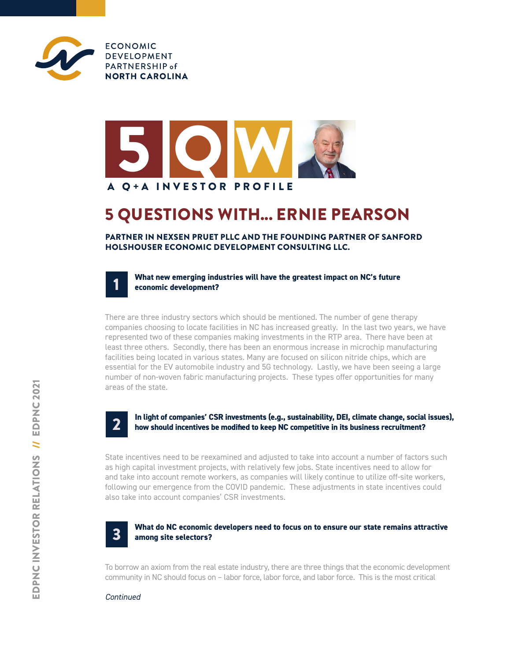



## 5 QUESTIONS WITH... ERNIE PEARSON

PARTNER IN NEXSEN PRUET PLLC AND THE FOUNDING PARTNER OF SANFORD HOLSHOUSER ECONOMIC DEVELOPMENT CONSULTING LLC.



There are three industry sectors which should be mentioned. The number of gene therapy companies choosing to locate facilities in NC has increased greatly. In the last two years, we have represented two of these companies making investments in the RTP area. There have been at least three others. Secondly, there has been an enormous increase in microchip manufacturing facilities being located in various states. Many are focused on silicon nitride chips, which are essential for the EV automobile industry and 5G technology. Lastly, we have been seeing a large number of non-woven fabric manufacturing projects. These types offer opportunities for many areas of the state.



1

#### **In light of companies' CSR investments (e.g., sustainability, DEI, climate change, social issues), how should incentives be modified to keep NC competitive in its business recruitment?**

State incentives need to be reexamined and adjusted to take into account a number of factors such as high capital investment projects, with relatively few jobs. State incentives need to allow for and take into account remote workers, as companies will likely continue to utilize off-site workers, following our emergence from the COVID pandemic. These adjustments in state incentives could also take into account companies' CSR investments.



### **What do NC economic developers need to focus on to ensure our state remains attractive among site selectors?**

To borrow an axiom from the real estate industry, there are three things that the economic development community in NC should focus on – labor force, labor force, and labor force. This is the most critical

### *Continued*